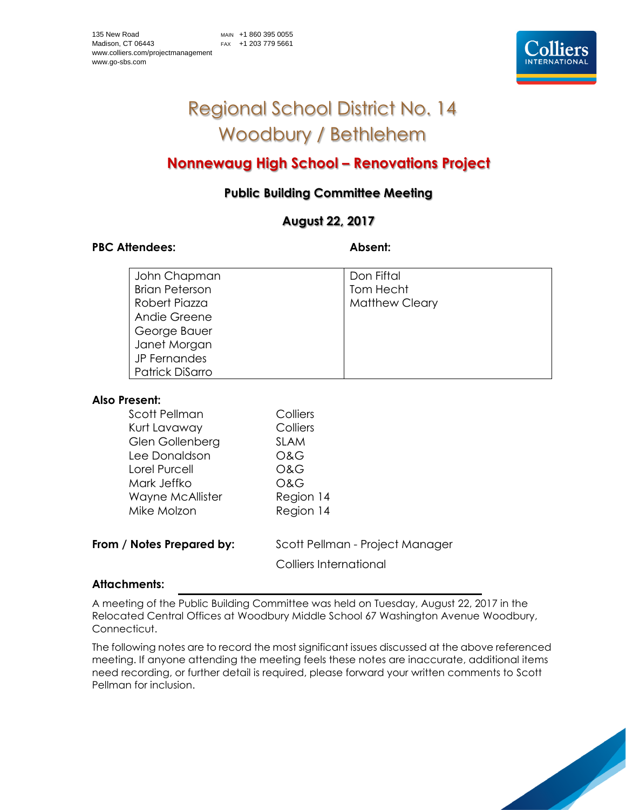

# Regional School District No. 14 Woodbury / Bethlehem

# **Nonnewaug High School – Renovations Project**

# **Public Building Committee Meeting**

# **August 22, 2017**

### PBC Attendees: Absent:

| John Chapman           | Don Fiftal            |
|------------------------|-----------------------|
| <b>Brian Peterson</b>  | Tom Hecht             |
| Robert Piazza          | <b>Matthew Cleary</b> |
| Andie Greene           |                       |
| George Bauer           |                       |
| Janet Morgan           |                       |
| JP Fernandes           |                       |
| <b>Patrick DiSarro</b> |                       |

## **Also Present:**

| Scott Pellman    | Colliers       |
|------------------|----------------|
| Kurt Lavaway     | Colliers       |
| Glen Gollenberg  | <b>SLAM</b>    |
| Lee Donaldson    | <b>O&amp;G</b> |
| Lorel Purcell    | <b>O&amp;G</b> |
| Mark Jeffko      | <b>O&amp;G</b> |
| Wayne McAllister | Region 14      |
| Mike Molzon      | Region 14      |
|                  |                |

**From / Notes Prepared by:** Scott Pellman - Project Manager

Colliers International

# **Attachments:**

A meeting of the Public Building Committee was held on Tuesday, August 22, 2017 in the Relocated Central Offices at Woodbury Middle School 67 Washington Avenue Woodbury, Connecticut.

The following notes are to record the most significant issues discussed at the above referenced meeting. If anyone attending the meeting feels these notes are inaccurate, additional items need recording, or further detail is required, please forward your written comments to Scott Pellman for inclusion.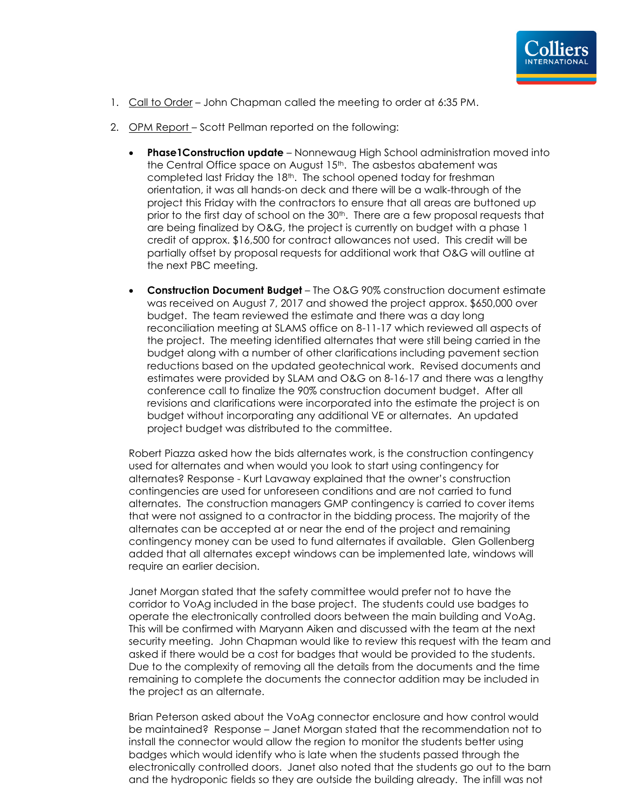

- 1. Call to Order John Chapman called the meeting to order at 6:35 PM.
- 2. OPM Report Scott Pellman reported on the following:
	- **Phase1Construction update** Nonnewaug High School administration moved into the Central Office space on August 15<sup>th</sup>. The asbestos abatement was completed last Friday the 18th. The school opened today for freshman orientation, it was all hands-on deck and there will be a walk-through of the project this Friday with the contractors to ensure that all areas are buttoned up prior to the first day of school on the 30<sup>th</sup>. There are a few proposal requests that are being finalized by O&G, the project is currently on budget with a phase 1 credit of approx. \$16,500 for contract allowances not used. This credit will be partially offset by proposal requests for additional work that O&G will outline at the next PBC meeting.
	- **Construction Document Budget**  The O&G 90% construction document estimate was received on August 7, 2017 and showed the project approx. \$650,000 over budget. The team reviewed the estimate and there was a day long reconciliation meeting at SLAMS office on 8-11-17 which reviewed all aspects of the project. The meeting identified alternates that were still being carried in the budget along with a number of other clarifications including pavement section reductions based on the updated geotechnical work. Revised documents and estimates were provided by SLAM and O&G on 8-16-17 and there was a lengthy conference call to finalize the 90% construction document budget. After all revisions and clarifications were incorporated into the estimate the project is on budget without incorporating any additional VE or alternates. An updated project budget was distributed to the committee.

Robert Piazza asked how the bids alternates work, is the construction contingency used for alternates and when would you look to start using contingency for alternates? Response - Kurt Lavaway explained that the owner's construction contingencies are used for unforeseen conditions and are not carried to fund alternates. The construction managers GMP contingency is carried to cover items that were not assigned to a contractor in the bidding process. The majority of the alternates can be accepted at or near the end of the project and remaining contingency money can be used to fund alternates if available. Glen Gollenberg added that all alternates except windows can be implemented late, windows will require an earlier decision.

Janet Morgan stated that the safety committee would prefer not to have the corridor to VoAg included in the base project. The students could use badges to operate the electronically controlled doors between the main building and VoAg. This will be confirmed with Maryann Aiken and discussed with the team at the next security meeting. John Chapman would like to review this request with the team and asked if there would be a cost for badges that would be provided to the students. Due to the complexity of removing all the details from the documents and the time remaining to complete the documents the connector addition may be included in the project as an alternate.

Brian Peterson asked about the VoAg connector enclosure and how control would be maintained? Response – Janet Morgan stated that the recommendation not to install the connector would allow the region to monitor the students better using badges which would identify who is late when the students passed through the electronically controlled doors. Janet also noted that the students go out to the barn and the hydroponic fields so they are outside the building already. The infill was not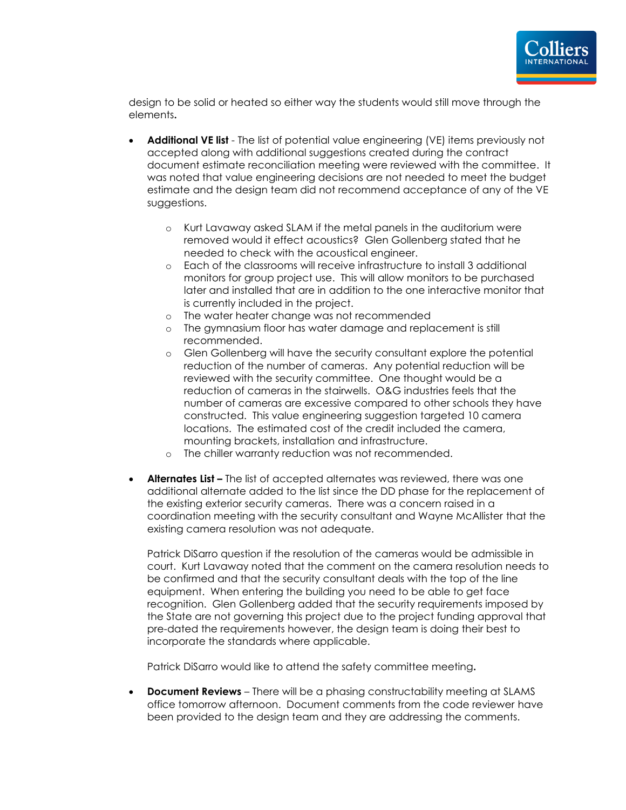

design to be solid or heated so either way the students would still move through the elements**.**

- **Additional VE list**  The list of potential value engineering (VE) items previously not accepted along with additional suggestions created during the contract document estimate reconciliation meeting were reviewed with the committee. It was noted that value engineering decisions are not needed to meet the budget estimate and the design team did not recommend acceptance of any of the VE suggestions.
	- o Kurt Lavaway asked SLAM if the metal panels in the auditorium were removed would it effect acoustics? Glen Gollenberg stated that he needed to check with the acoustical engineer.
	- o Each of the classrooms will receive infrastructure to install 3 additional monitors for group project use. This will allow monitors to be purchased later and installed that are in addition to the one interactive monitor that is currently included in the project.
	- o The water heater change was not recommended
	- o The gymnasium floor has water damage and replacement is still recommended.
	- o Glen Gollenberg will have the security consultant explore the potential reduction of the number of cameras. Any potential reduction will be reviewed with the security committee. One thought would be a reduction of cameras in the stairwells. O&G industries feels that the number of cameras are excessive compared to other schools they have constructed. This value engineering suggestion targeted 10 camera locations. The estimated cost of the credit included the camera, mounting brackets, installation and infrastructure.
	- o The chiller warranty reduction was not recommended.
- **Alternates List –** The list of accepted alternates was reviewed, there was one additional alternate added to the list since the DD phase for the replacement of the existing exterior security cameras. There was a concern raised in a coordination meeting with the security consultant and Wayne McAllister that the existing camera resolution was not adequate.

Patrick DiSarro question if the resolution of the cameras would be admissible in court. Kurt Lavaway noted that the comment on the camera resolution needs to be confirmed and that the security consultant deals with the top of the line equipment. When entering the building you need to be able to get face recognition. Glen Gollenberg added that the security requirements imposed by the State are not governing this project due to the project funding approval that pre-dated the requirements however, the design team is doing their best to incorporate the standards where applicable.

Patrick DiSarro would like to attend the safety committee meeting**.** 

• **Document Reviews** – There will be a phasing constructability meeting at SLAMS office tomorrow afternoon. Document comments from the code reviewer have been provided to the design team and they are addressing the comments.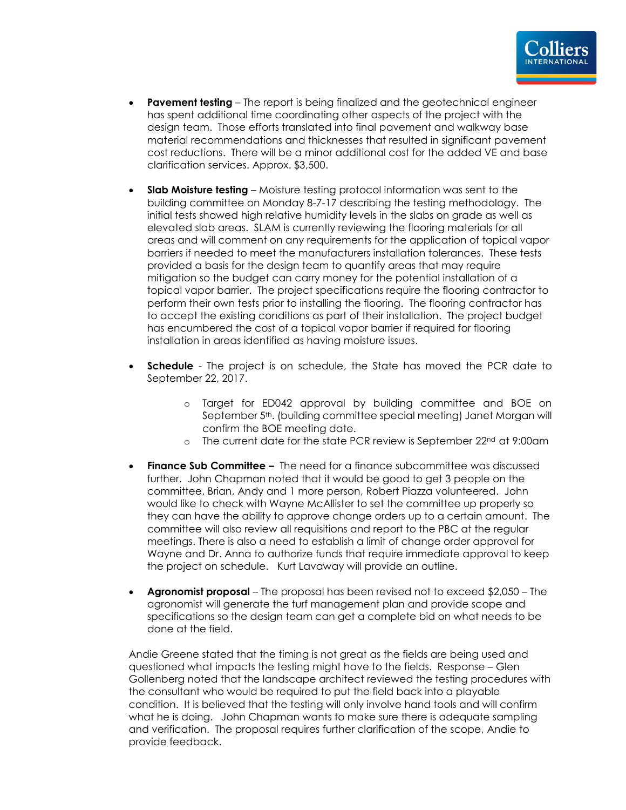

- **Pavement testing** The report is being finalized and the geotechnical engineer has spent additional time coordinating other aspects of the project with the design team. Those efforts translated into final pavement and walkway base material recommendations and thicknesses that resulted in significant pavement cost reductions. There will be a minor additional cost for the added VE and base clarification services. Approx. \$3,500.
- **Slab Moisture testing** Moisture testing protocol information was sent to the building committee on Monday 8-7-17 describing the testing methodology. The initial tests showed high relative humidity levels in the slabs on grade as well as elevated slab areas. SLAM is currently reviewing the flooring materials for all areas and will comment on any requirements for the application of topical vapor barriers if needed to meet the manufacturers installation tolerances. These tests provided a basis for the design team to quantify areas that may require mitigation so the budget can carry money for the potential installation of a topical vapor barrier. The project specifications require the flooring contractor to perform their own tests prior to installing the flooring. The flooring contractor has to accept the existing conditions as part of their installation. The project budget has encumbered the cost of a topical vapor barrier if required for flooring installation in areas identified as having moisture issues.
- **Schedule** The project is on schedule, the State has moved the PCR date to September 22, 2017.
	- o Target for ED042 approval by building committee and BOE on September 5<sup>th</sup>. (building committee special meeting) Janet Morgan will confirm the BOE meeting date.
	- $\circ$  The current date for the state PCR review is September 22<sup>nd</sup> at 9:00am
- **Finance Sub Committee –** The need for a finance subcommittee was discussed further. John Chapman noted that it would be good to get 3 people on the committee, Brian, Andy and 1 more person, Robert Piazza volunteered. John would like to check with Wayne McAllister to set the committee up properly so they can have the ability to approve change orders up to a certain amount. The committee will also review all requisitions and report to the PBC at the regular meetings. There is also a need to establish a limit of change order approval for Wayne and Dr. Anna to authorize funds that require immediate approval to keep the project on schedule. Kurt Lavaway will provide an outline.
- **Agronomist proposal** The proposal has been revised not to exceed \$2,050 The agronomist will generate the turf management plan and provide scope and specifications so the design team can get a complete bid on what needs to be done at the field.

Andie Greene stated that the timing is not great as the fields are being used and questioned what impacts the testing might have to the fields. Response – Glen Gollenberg noted that the landscape architect reviewed the testing procedures with the consultant who would be required to put the field back into a playable condition. It is believed that the testing will only involve hand tools and will confirm what he is doing. John Chapman wants to make sure there is adequate sampling and verification. The proposal requires further clarification of the scope, Andie to provide feedback.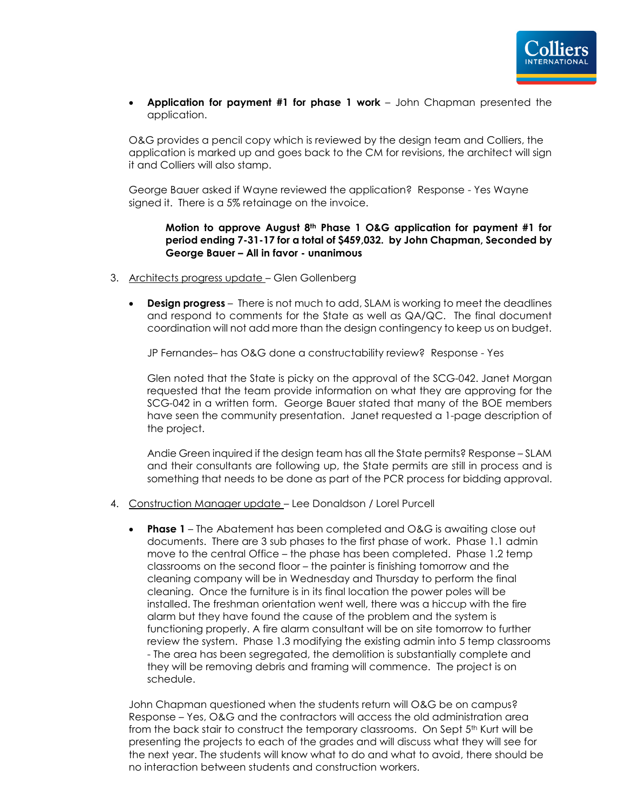

• **Application for payment #1 for phase 1 work** – John Chapman presented the application.

O&G provides a pencil copy which is reviewed by the design team and Colliers, the application is marked up and goes back to the CM for revisions, the architect will sign it and Colliers will also stamp.

George Bauer asked if Wayne reviewed the application? Response - Yes Wayne signed it. There is a 5% retainage on the invoice.

### **Motion to approve August 8th Phase 1 O&G application for payment #1 for period ending 7-31-17 for a total of \$459,032. by John Chapman, Seconded by George Bauer – All in favor - unanimous**

- 3. Architects progress update Glen Gollenberg
	- **Design progress** There is not much to add, SLAM is working to meet the deadlines and respond to comments for the State as well as QA/QC. The final document coordination will not add more than the design contingency to keep us on budget.

JP Fernandes– has O&G done a constructability review? Response - Yes

Glen noted that the State is picky on the approval of the SCG-042. Janet Morgan requested that the team provide information on what they are approving for the SCG-042 in a written form. George Bauer stated that many of the BOE members have seen the community presentation. Janet requested a 1-page description of the project.

Andie Green inquired if the design team has all the State permits? Response – SLAM and their consultants are following up, the State permits are still in process and is something that needs to be done as part of the PCR process for bidding approval.

- 4. Construction Manager update Lee Donaldson / Lorel Purcell
	- **Phase 1** The Abatement has been completed and O&G is awaiting close out documents. There are 3 sub phases to the first phase of work. Phase 1.1 admin move to the central Office – the phase has been completed. Phase 1.2 temp classrooms on the second floor – the painter is finishing tomorrow and the cleaning company will be in Wednesday and Thursday to perform the final cleaning. Once the furniture is in its final location the power poles will be installed. The freshman orientation went well, there was a hiccup with the fire alarm but they have found the cause of the problem and the system is functioning properly. A fire alarm consultant will be on site tomorrow to further review the system. Phase 1.3 modifying the existing admin into 5 temp classrooms - The area has been segregated, the demolition is substantially complete and they will be removing debris and framing will commence. The project is on schedule.

John Chapman questioned when the students return will O&G be on campus? Response – Yes, O&G and the contractors will access the old administration area from the back stair to construct the temporary classrooms. On Sept 5<sup>th</sup> Kurt will be presenting the projects to each of the grades and will discuss what they will see for the next year. The students will know what to do and what to avoid, there should be no interaction between students and construction workers.